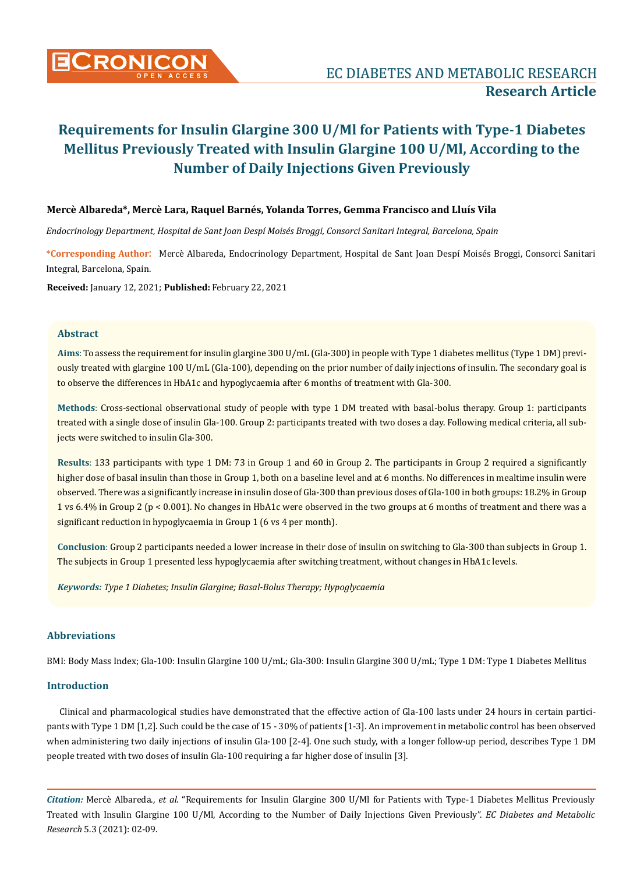

### **Mercè Albareda\*, Mercè Lara, Raquel Barnés, Yolanda Torres, Gemma Francisco and Lluís Vila**

*Endocrinology Department, Hospital de Sant Joan Despí Moisés Broggi, Consorci Sanitari Integral, Barcelona, Spain*

**\*Corresponding Author**: Mercè Albareda, Endocrinology Department, Hospital de Sant Joan Despí Moisés Broggi, Consorci Sanitari Integral, Barcelona, Spain.

**Received:** January 12, 2021; **Published:** February 22, 2021

#### **Abstract**

**Aims**: To assess the requirement for insulin glargine 300 U/mL (Gla-300) in people with Type 1 diabetes mellitus (Type 1 DM) previously treated with glargine 100 U/mL (Gla-100), depending on the prior number of daily injections of insulin. The secondary goal is to observe the differences in HbA1c and hypoglycaemia after 6 months of treatment with Gla-300.

**Methods**: Cross-sectional observational study of people with type 1 DM treated with basal-bolus therapy. Group 1: participants treated with a single dose of insulin Gla-100. Group 2: participants treated with two doses a day. Following medical criteria, all subjects were switched to insulin Gla-300.

**Results**: 133 participants with type 1 DM: 73 in Group 1 and 60 in Group 2. The participants in Group 2 required a significantly higher dose of basal insulin than those in Group 1, both on a baseline level and at 6 months. No differences in mealtime insulin were observed. There was a significantly increase in insulin dose of Gla-300 than previous doses of Gla-100 in both groups: 18.2% in Group 1 vs 6.4% in Group 2 (p < 0.001). No changes in HbA1c were observed in the two groups at 6 months of treatment and there was a significant reduction in hypoglycaemia in Group 1 (6 vs 4 per month).

**Conclusion**: Group 2 participants needed a lower increase in their dose of insulin on switching to Gla-300 than subjects in Group 1. The subjects in Group 1 presented less hypoglycaemia after switching treatment, without changes in HbA1c levels.

*Keywords: Type 1 Diabetes; Insulin Glargine; Basal-Bolus Therapy; Hypoglycaemia*

### **Abbreviations**

BMI: Body Mass Index; Gla-100: Insulin Glargine 100 U/mL; Gla-300: Insulin Glargine 300 U/mL; Type 1 DM: Type 1 Diabetes Mellitus

#### **Introduction**

Clinical and pharmacological studies have demonstrated that the effective action of Gla-100 lasts under 24 hours in certain participants with Type 1 DM [1,2]. Such could be the case of 15 - 30% of patients [1-3]. An improvement in metabolic control has been observed when administering two daily injections of insulin Gla-100 [2-4]. One such study, with a longer follow-up period, describes Type 1 DM people treated with two doses of insulin Gla-100 requiring a far higher dose of insulin [3].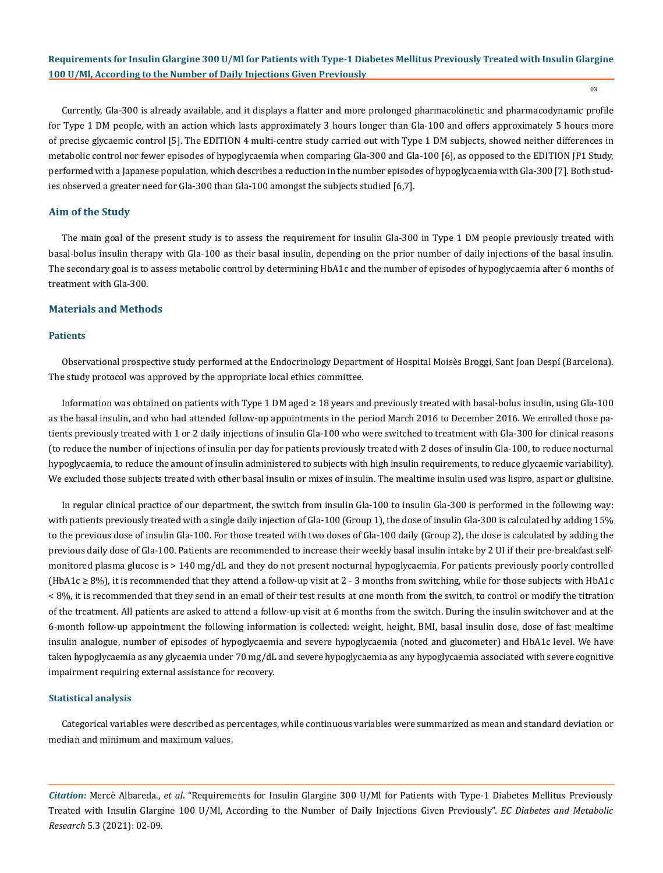03

Currently, Gla-300 is already available, and it displays a flatter and more prolonged pharmacokinetic and pharmacodynamic profile for Type 1 DM people, with an action which lasts approximately 3 hours longer than Gla-100 and offers approximately 5 hours more of precise glycaemic control [5]. The EDITION 4 multi-centre study carried out with Type 1 DM subjects, showed neither differences in metabolic control nor fewer episodes of hypoglycaemia when comparing Gla-300 and Gla-100 [6], as opposed to the EDITION JP1 Study, performed with a Japanese population, which describes a reduction in the number episodes of hypoglycaemia with Gla-300 [7]. Both studies observed a greater need for Gla-300 than Gla-100 amongst the subjects studied [6,7].

#### **Aim of the Study**

The main goal of the present study is to assess the requirement for insulin Gla-300 in Type 1 DM people previously treated with basal-bolus insulin therapy with Gla-100 as their basal insulin, depending on the prior number of daily injections of the basal insulin. The secondary goal is to assess metabolic control by determining HbA1c and the number of episodes of hypoglycaemia after 6 months of treatment with Gla-300.

#### **Materials and Methods**

#### **Patients**

Observational prospective study performed at the Endocrinology Department of Hospital Moisès Broggi, Sant Joan Despí (Barcelona). The study protocol was approved by the appropriate local ethics committee.

Information was obtained on patients with Type 1 DM aged ≥ 18 years and previously treated with basal-bolus insulin, using Gla-100 as the basal insulin, and who had attended follow-up appointments in the period March 2016 to December 2016. We enrolled those patients previously treated with 1 or 2 daily injections of insulin Gla-100 who were switched to treatment with Gla-300 for clinical reasons (to reduce the number of injections of insulin per day for patients previously treated with 2 doses of insulin Gla-100, to reduce nocturnal hypoglycaemia, to reduce the amount of insulin administered to subjects with high insulin requirements, to reduce glycaemic variability). We excluded those subjects treated with other basal insulin or mixes of insulin. The mealtime insulin used was lispro, aspart or glulisine.

In regular clinical practice of our department, the switch from insulin Gla-100 to insulin Gla-300 is performed in the following way: with patients previously treated with a single daily injection of Gla-100 (Group 1), the dose of insulin Gla-300 is calculated by adding 15% to the previous dose of insulin Gla-100. For those treated with two doses of Gla-100 daily (Group 2), the dose is calculated by adding the previous daily dose of Gla-100. Patients are recommended to increase their weekly basal insulin intake by 2 UI if their pre-breakfast selfmonitored plasma glucose is > 140 mg/dL and they do not present nocturnal hypoglycaemia. For patients previously poorly controlled (HbA1c ≥ 8%), it is recommended that they attend a follow-up visit at 2 - 3 months from switching, while for those subjects with HbA1c < 8%, it is recommended that they send in an email of their test results at one month from the switch, to control or modify the titration of the treatment. All patients are asked to attend a follow-up visit at 6 months from the switch. During the insulin switchover and at the 6-month follow-up appointment the following information is collected: weight, height, BMI, basal insulin dose, dose of fast mealtime insulin analogue, number of episodes of hypoglycaemia and severe hypoglycaemia (noted and glucometer) and HbA1c level. We have taken hypoglycaemia as any glycaemia under 70 mg/dL and severe hypoglycaemia as any hypoglycaemia associated with severe cognitive impairment requiring external assistance for recovery.

#### **Statistical analysis**

Categorical variables were described as percentages, while continuous variables were summarized as mean and standard deviation or median and minimum and maximum values.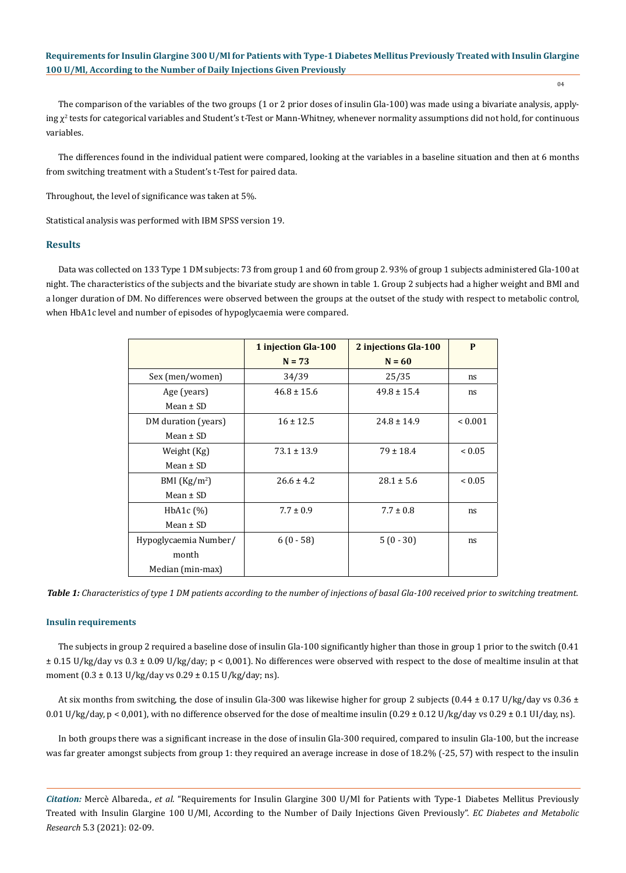04

The comparison of the variables of the two groups (1 or 2 prior doses of insulin Gla-100) was made using a bivariate analysis, applying  $\chi^2$  tests for categorical variables and Student's t-Test or Mann-Whitney, whenever normality assumptions did not hold, for continuous variables.

The differences found in the individual patient were compared, looking at the variables in a baseline situation and then at 6 months from switching treatment with a Student's t-Test for paired data.

Throughout, the level of significance was taken at 5%.

Statistical analysis was performed with IBM SPSS version 19.

### **Results**

Data was collected on 133 Type 1 DM subjects: 73 from group 1 and 60 from group 2. 93% of group 1 subjects administered Gla-100 at night. The characteristics of the subjects and the bivariate study are shown in table 1. Group 2 subjects had a higher weight and BMI and a longer duration of DM. No differences were observed between the groups at the outset of the study with respect to metabolic control, when HbA1c level and number of episodes of hypoglycaemia were compared.

|                       | 1 injection Gla-100<br>2 injections Gla-100 |                 | P            |
|-----------------------|---------------------------------------------|-----------------|--------------|
|                       | $N = 73$                                    | $N = 60$        |              |
| Sex (men/women)       | 34/39                                       | 25/35           |              |
| Age (years)           | $46.8 \pm 15.6$                             | $49.8 \pm 15.4$ |              |
| Mean $\pm$ SD         |                                             |                 |              |
| DM duration (years)   | $16 \pm 12.5$                               | $24.8 \pm 14.9$ | ${}_{0.001}$ |
| Mean $\pm$ SD         |                                             |                 |              |
| Weight (Kg)           | $73.1 \pm 13.9$                             | $79 \pm 18.4$   | ${}_{0.05}$  |
| Mean $\pm$ SD         |                                             |                 |              |
| BMI $(Kg/m2)$         | $26.6 \pm 4.2$<br>$28.1 \pm 5.6$            |                 | ${}_{0.05}$  |
| Mean $\pm$ SD         |                                             |                 |              |
| $HbA1c$ $(\%)$        | $7.7 \pm 0.9$                               | $7.7 \pm 0.8$   | ns           |
| Mean $\pm$ SD         |                                             |                 |              |
| Hypoglycaemia Number/ | $6(0-58)$                                   | $5(0-30)$       | ns           |
| month                 |                                             |                 |              |
| Median (min-max)      |                                             |                 |              |

*Table 1: Characteristics of type 1 DM patients according to the number of injections of basal Gla-100 received prior to switching treatment.*

#### **Insulin requirements**

The subjects in group 2 required a baseline dose of insulin Gla-100 significantly higher than those in group 1 prior to the switch (0.41  $\pm$  0.15 U/kg/day vs 0.3  $\pm$  0.09 U/kg/day; p < 0,001). No differences were observed with respect to the dose of mealtime insulin at that moment (0.3 ± 0.13 U/kg/day vs 0.29 ± 0.15 U/kg/day; ns).

At six months from switching, the dose of insulin Gla-300 was likewise higher for group 2 subjects (0.44  $\pm$  0.17 U/kg/day vs 0.36  $\pm$ 0.01 U/kg/day, p < 0,001), with no difference observed for the dose of mealtime insulin  $(0.29 \pm 0.12 \text{ U/kg/day vs } 0.29 \pm 0.1 \text{ U/(day, ns)}$ .

In both groups there was a significant increase in the dose of insulin Gla-300 required, compared to insulin Gla-100, but the increase was far greater amongst subjects from group 1: they required an average increase in dose of 18.2% (-25, 57) with respect to the insulin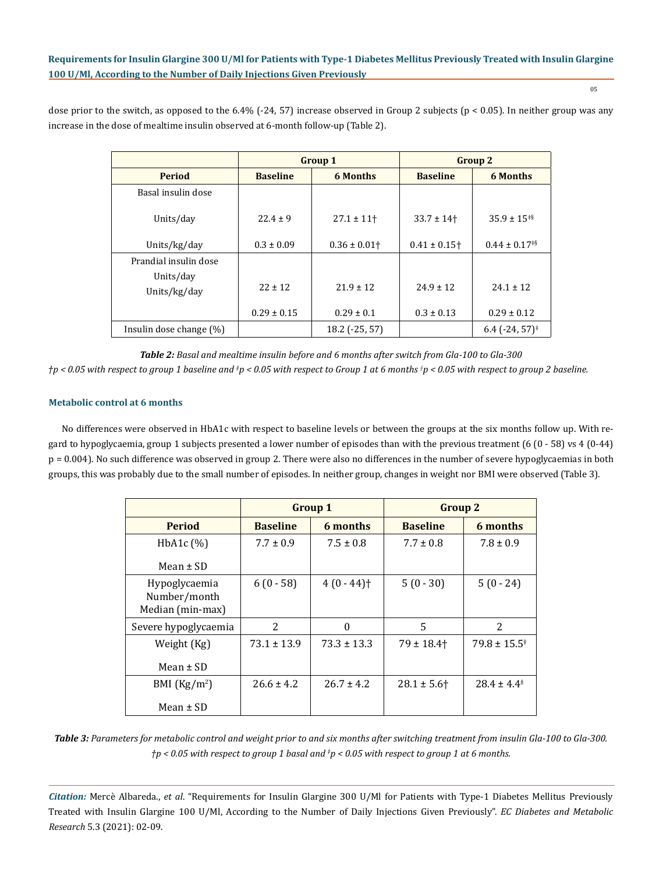05

dose prior to the switch, as opposed to the 6.4%  $(-24, 57)$  increase observed in Group 2 subjects  $(p < 0.05)$ . In neither group was any increase in the dose of mealtime insulin observed at 6-month follow-up (Table 2).

|                            | <b>Group 1</b>  |                 | <b>Group 2</b>               |                                             |
|----------------------------|-----------------|-----------------|------------------------------|---------------------------------------------|
| <b>Period</b>              | <b>Baseline</b> | 6 Months        | <b>Baseline</b>              | <b>6 Months</b>                             |
| Basal insulin dose         |                 |                 |                              |                                             |
| Units/day                  | $22.4 \pm 9$    | $27.1 \pm 11$   | $33.7 \pm 14$                | $35.9 \pm 15^{18}$                          |
| Units/kg/day               | $0.3 \pm 0.09$  | $0.36 \pm 0.01$ | $0.41 \pm 0.15$ <sup>+</sup> | $0.44 \pm 0.17^{*5}$                        |
| Prandial insulin dose      |                 |                 |                              |                                             |
| Units/day<br>Units/kg/day  | $22 \pm 12$     | $21.9 \pm 12$   | $24.9 \pm 12$                | $24.1 \pm 12$                               |
|                            | $0.29 \pm 0.15$ | $0.29 \pm 0.1$  | $0.3 \pm 0.13$               | $0.29 \pm 0.12$                             |
| Insulin dose change $(\%)$ |                 | 18.2 (-25, 57)  |                              | $6.4$ (-24, 57) <sup><math>\pm</math></sup> |

*Table 2: Basal and mealtime insulin before and 6 months after switch from Gla-100 to Gla-300*

*†p < 0.05 with respect to group 1 baseline and ‡ p < 0.05 with respect to Group 1 at 6 months § p < 0.05 with respect to group 2 baseline.*

# **Metabolic control at 6 months**

No differences were observed in HbA1c with respect to baseline levels or between the groups at the six months follow up. With regard to hypoglycaemia, group 1 subjects presented a lower number of episodes than with the previous treatment (6 (0 - 58) vs 4 (0-44) p = 0.004). No such difference was observed in group 2. There were also no differences in the number of severe hypoglycaemias in both groups, this was probably due to the small number of episodes. In neither group, changes in weight nor BMI were observed (Table 3).

|                                                   | <b>Group 1</b>  |                          | <b>Group 2</b>  |                            |
|---------------------------------------------------|-----------------|--------------------------|-----------------|----------------------------|
| <b>Period</b>                                     | <b>Baseline</b> | <b>6</b> months          | <b>Baseline</b> | 6 months                   |
| $HbA1c$ $(\%)$                                    | $7.7 \pm 0.9$   | $7.5 \pm 0.8$            | $7.7 \pm 0.8$   | $7.8 \pm 0.9$              |
| Mean $\pm$ SD                                     |                 |                          |                 |                            |
| Hypoglycaemia<br>Number/month<br>Median (min-max) | $6(0 - 58)$     | $4(0 - 44)$ <sup>+</sup> | $5(0-30)$       | $5(0 - 24)$                |
| Severe hypoglycaemia                              | 2               | $\Omega$                 | 5               | 2                          |
| Weight (Kg)<br>Mean $\pm$ SD                      | $73.1 \pm 13.9$ | $73.3 \pm 13.3$          | $79 \pm 18.4$   | $79.8 \pm 15.5^{\ddagger}$ |
| BMI $(Kg/m2)$                                     | $26.6 \pm 4.2$  | $26.7 \pm 4.2$           | $28.1 \pm 5.6$  | $28.4 \pm 4.4^{\ddagger}$  |
| Mean $\pm$ SD                                     |                 |                          |                 |                            |

*Table 3: Parameters for metabolic control and weight prior to and six months after switching treatment from insulin Gla-100 to Gla-300. †p < 0.05 with respect to group 1 basal and ‡ p < 0.05 with respect to group 1 at 6 months.*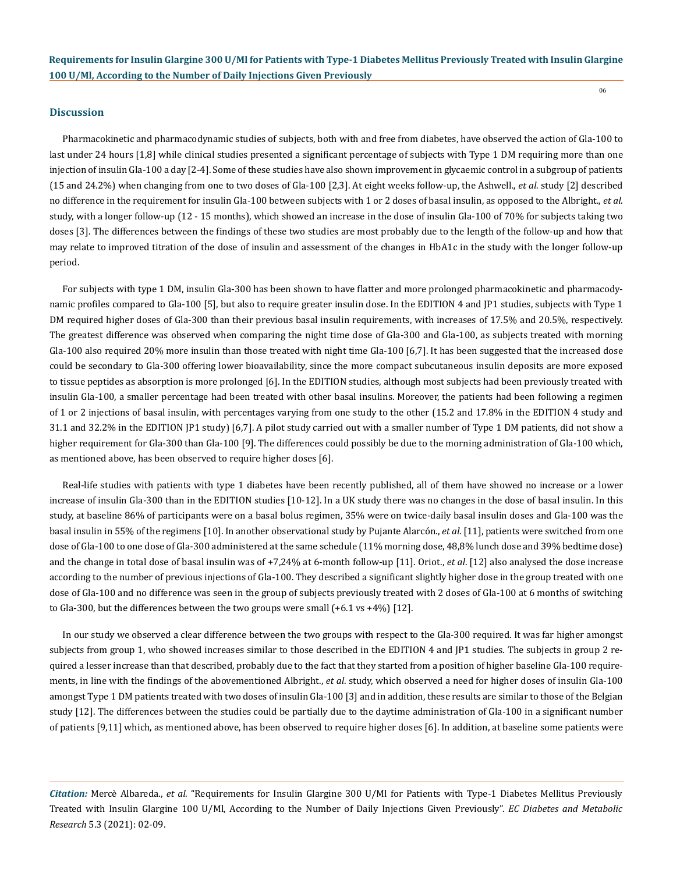06

#### **Discussion**

Pharmacokinetic and pharmacodynamic studies of subjects, both with and free from diabetes, have observed the action of Gla-100 to last under 24 hours [1,8] while clinical studies presented a significant percentage of subjects with Type 1 DM requiring more than one injection of insulin Gla-100 a day [2-4]. Some of these studies have also shown improvement in glycaemic control in a subgroup of patients (15 and 24.2%) when changing from one to two doses of Gla-100 [2,3]. At eight weeks follow-up, the Ashwell., *et al*. study [2] described no difference in the requirement for insulin Gla-100 between subjects with 1 or 2 doses of basal insulin, as opposed to the Albright., *et al*. study, with a longer follow-up (12 - 15 months), which showed an increase in the dose of insulin Gla-100 of 70% for subjects taking two doses [3]. The differences between the findings of these two studies are most probably due to the length of the follow-up and how that may relate to improved titration of the dose of insulin and assessment of the changes in HbA1c in the study with the longer follow-up period.

For subjects with type 1 DM, insulin Gla-300 has been shown to have flatter and more prolonged pharmacokinetic and pharmacodynamic profiles compared to Gla-100 [5], but also to require greater insulin dose. In the EDITION 4 and JP1 studies, subjects with Type 1 DM required higher doses of Gla-300 than their previous basal insulin requirements, with increases of 17.5% and 20.5%, respectively. The greatest difference was observed when comparing the night time dose of Gla-300 and Gla-100, as subjects treated with morning Gla-100 also required 20% more insulin than those treated with night time Gla-100 [6,7]. It has been suggested that the increased dose could be secondary to Gla-300 offering lower bioavailability, since the more compact subcutaneous insulin deposits are more exposed to tissue peptides as absorption is more prolonged [6]. In the EDITION studies, although most subjects had been previously treated with insulin Gla-100, a smaller percentage had been treated with other basal insulins. Moreover, the patients had been following a regimen of 1 or 2 injections of basal insulin, with percentages varying from one study to the other (15.2 and 17.8% in the EDITION 4 study and 31.1 and 32.2% in the EDITION JP1 study) [6,7]. A pilot study carried out with a smaller number of Type 1 DM patients, did not show a higher requirement for Gla-300 than Gla-100 [9]. The differences could possibly be due to the morning administration of Gla-100 which, as mentioned above, has been observed to require higher doses [6].

Real-life studies with patients with type 1 diabetes have been recently published, all of them have showed no increase or a lower increase of insulin Gla-300 than in the EDITION studies [10-12]. In a UK study there was no changes in the dose of basal insulin. In this study, at baseline 86% of participants were on a basal bolus regimen, 35% were on twice-daily basal insulin doses and Gla-100 was the basal insulin in 55% of the regimens [10]. In another observational study by Pujante Alarcón., *et al*. [11], patients were switched from one dose of Gla-100 to one dose of Gla-300 administered at the same schedule (11% morning dose, 48,8% lunch dose and 39% bedtime dose) and the change in total dose of basal insulin was of +7,24% at 6-month follow-up [11]. Oriot., *et al*. [12] also analysed the dose increase according to the number of previous injections of Gla-100. They described a significant slightly higher dose in the group treated with one dose of Gla-100 and no difference was seen in the group of subjects previously treated with 2 doses of Gla-100 at 6 months of switching to Gla-300, but the differences between the two groups were small (+6.1 vs +4%) [12].

In our study we observed a clear difference between the two groups with respect to the Gla-300 required. It was far higher amongst subjects from group 1, who showed increases similar to those described in the EDITION 4 and JP1 studies. The subjects in group 2 required a lesser increase than that described, probably due to the fact that they started from a position of higher baseline Gla-100 requirements, in line with the findings of the abovementioned Albright., *et al*. study, which observed a need for higher doses of insulin Gla-100 amongst Type 1 DM patients treated with two doses of insulin Gla-100 [3] and in addition, these results are similar to those of the Belgian study [12]. The differences between the studies could be partially due to the daytime administration of Gla-100 in a significant number of patients [9,11] which, as mentioned above, has been observed to require higher doses [6]. In addition, at baseline some patients were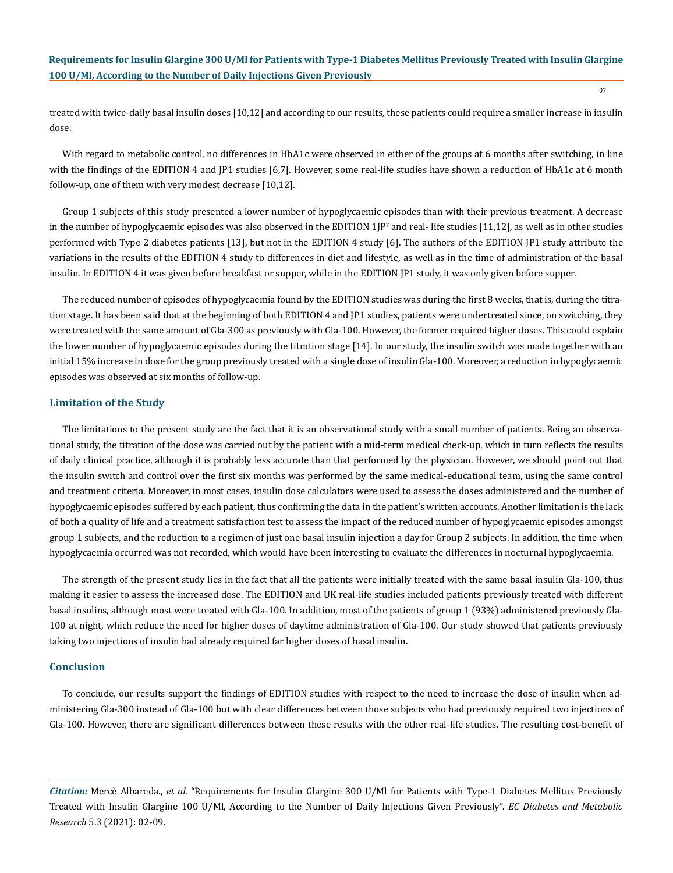treated with twice-daily basal insulin doses [10,12] and according to our results, these patients could require a smaller increase in insulin dose.

With regard to metabolic control, no differences in HbA1c were observed in either of the groups at 6 months after switching, in line with the findings of the EDITION 4 and JP1 studies [6,7]. However, some real-life studies have shown a reduction of HbA1c at 6 month follow-up, one of them with very modest decrease [10,12].

Group 1 subjects of this study presented a lower number of hypoglycaemic episodes than with their previous treatment. A decrease in the number of hypoglycaemic episodes was also observed in the EDITION  $1$ JP $^{\prime}$  and real- life studies [11,12], as well as in other studies performed with Type 2 diabetes patients [13], but not in the EDITION 4 study [6]. The authors of the EDITION JP1 study attribute the variations in the results of the EDITION 4 study to differences in diet and lifestyle, as well as in the time of administration of the basal insulin. In EDITION 4 it was given before breakfast or supper, while in the EDITION JP1 study, it was only given before supper.

The reduced number of episodes of hypoglycaemia found by the EDITION studies was during the first 8 weeks, that is, during the titration stage. It has been said that at the beginning of both EDITION 4 and JP1 studies, patients were undertreated since, on switching, they were treated with the same amount of Gla-300 as previously with Gla-100. However, the former required higher doses. This could explain the lower number of hypoglycaemic episodes during the titration stage [14]. In our study, the insulin switch was made together with an initial 15% increase in dose for the group previously treated with a single dose of insulin Gla-100. Moreover, a reduction in hypoglycaemic episodes was observed at six months of follow-up.

#### **Limitation of the Study**

The limitations to the present study are the fact that it is an observational study with a small number of patients. Being an observational study, the titration of the dose was carried out by the patient with a mid-term medical check-up, which in turn reflects the results of daily clinical practice, although it is probably less accurate than that performed by the physician. However, we should point out that the insulin switch and control over the first six months was performed by the same medical-educational team, using the same control and treatment criteria. Moreover, in most cases, insulin dose calculators were used to assess the doses administered and the number of hypoglycaemic episodes suffered by each patient, thus confirming the data in the patient's written accounts. Another limitation is the lack of both a quality of life and a treatment satisfaction test to assess the impact of the reduced number of hypoglycaemic episodes amongst group 1 subjects, and the reduction to a regimen of just one basal insulin injection a day for Group 2 subjects. In addition, the time when hypoglycaemia occurred was not recorded, which would have been interesting to evaluate the differences in nocturnal hypoglycaemia.

The strength of the present study lies in the fact that all the patients were initially treated with the same basal insulin Gla-100, thus making it easier to assess the increased dose. The EDITION and UK real-life studies included patients previously treated with different basal insulins, although most were treated with Gla-100. In addition, most of the patients of group 1 (93%) administered previously Gla-100 at night, which reduce the need for higher doses of daytime administration of Gla-100. Our study showed that patients previously taking two injections of insulin had already required far higher doses of basal insulin.

#### **Conclusion**

To conclude, our results support the findings of EDITION studies with respect to the need to increase the dose of insulin when administering Gla-300 instead of Gla-100 but with clear differences between those subjects who had previously required two injections of Gla-100. However, there are significant differences between these results with the other real-life studies. The resulting cost-benefit of

*Citation:* Mercè Albareda., *et al*. "Requirements for Insulin Glargine 300 U/Ml for Patients with Type-1 Diabetes Mellitus Previously Treated with Insulin Glargine 100 U/Ml, According to the Number of Daily Injections Given Previously". *EC Diabetes and Metabolic Research* 5.3 (2021): 02-09.

07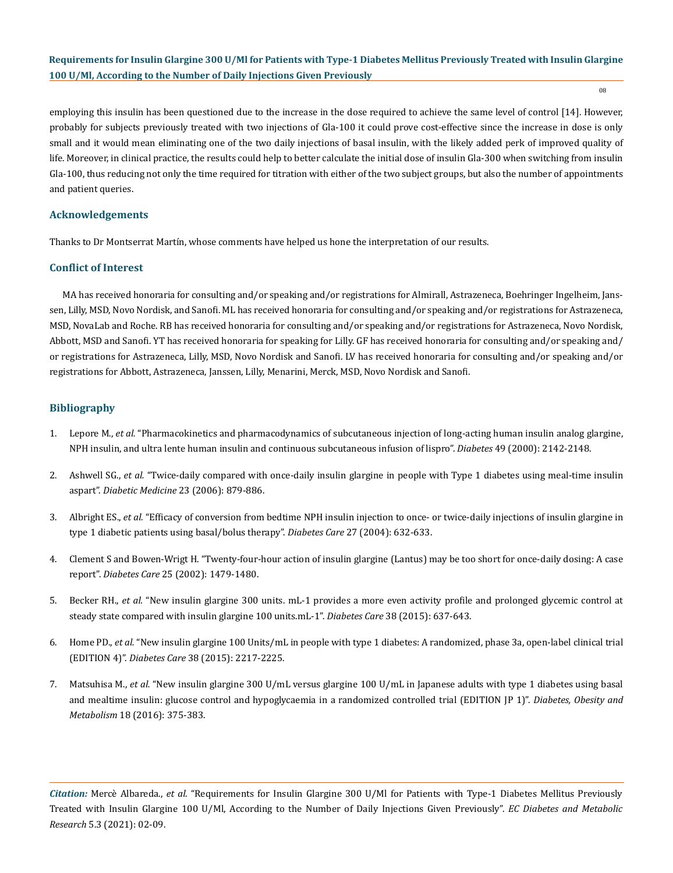08

employing this insulin has been questioned due to the increase in the dose required to achieve the same level of control [14]. However, probably for subjects previously treated with two injections of Gla-100 it could prove cost-effective since the increase in dose is only small and it would mean eliminating one of the two daily injections of basal insulin, with the likely added perk of improved quality of life. Moreover, in clinical practice, the results could help to better calculate the initial dose of insulin Gla-300 when switching from insulin Gla-100, thus reducing not only the time required for titration with either of the two subject groups, but also the number of appointments and patient queries.

## **Acknowledgements**

Thanks to Dr Montserrat Martín, whose comments have helped us hone the interpretation of our results.

# **Conflict of Interest**

MA has received honoraria for consulting and/or speaking and/or registrations for Almirall, Astrazeneca, Boehringer Ingelheim, Janssen, Lilly, MSD, Novo Nordisk, and Sanofi. ML has received honoraria for consulting and/or speaking and/or registrations for Astrazeneca, MSD, NovaLab and Roche. RB has received honoraria for consulting and/or speaking and/or registrations for Astrazeneca, Novo Nordisk, Abbott, MSD and Sanofi. YT has received honoraria for speaking for Lilly. GF has received honoraria for consulting and/or speaking and/ or registrations for Astrazeneca, Lilly, MSD, Novo Nordisk and Sanofi. LV has received honoraria for consulting and/or speaking and/or registrations for Abbott, Astrazeneca, Janssen, Lilly, Menarini, Merck, MSD, Novo Nordisk and Sanofi.

# **Bibliography**

- 1. Lepore M., *et al.* ["Pharmacokinetics and pharmacodynamics of subcutaneous injection of long-acting human insulin analog glargine,](https://pubmed.ncbi.nlm.nih.gov/11118018/) [NPH insulin, and ultra lente human insulin and continuous subcutaneous infusion of lispro".](https://pubmed.ncbi.nlm.nih.gov/11118018/) *Diabetes* 49 (2000): 2142-2148.
- 2. Ashwell SG., *et al.* ["Twice-daily compared with once-daily insulin glargine in people with Type 1 diabetes using meal-time insulin](https://www.ncbi.nlm.nih.gov/pmc/articles/PMC6299157/)  aspart". *[Diabetic Medicine](https://www.ncbi.nlm.nih.gov/pmc/articles/PMC6299157/)* 23 (2006): 879-886.
- 3. Albright ES., *et al.* ["Efficacy of conversion from bedtime NPH insulin injection to once- or twice-daily injections of insulin glargine in](https://pubmed.ncbi.nlm.nih.gov/14747268/) [type 1 diabetic patients using basal/bolus therapy".](https://pubmed.ncbi.nlm.nih.gov/14747268/) *Diabetes Care* 27 (2004): 632-633.
- 4. [Clement S and Bowen-Wrigt H. "Twenty-four-hour action of insulin glargine \(Lantus\) may be too short for once-daily dosing: A case](https://pubmed.ncbi.nlm.nih.gov/12145255/) report". *Diabetes Care* [25 \(2002\): 1479-1480.](https://pubmed.ncbi.nlm.nih.gov/12145255/)
- 5. Becker RH., *et al.* ["New insulin glargine 300 units. mL-1 provides a more even activity profile and prolonged glycemic control at](https://pubmed.ncbi.nlm.nih.gov/25150159/)  [steady state compared with insulin glargine 100 units.mL-1".](https://pubmed.ncbi.nlm.nih.gov/25150159/) *Diabetes Care* 38 (2015): 637-643.
- 6. Home PD., *et al.* ["New insulin glargine 100 Units/mL in people with type 1 diabetes: A randomized, phase 3a, open-label clinical trial](https://pubmed.ncbi.nlm.nih.gov/26084341/)  (EDITION 4)". *Diabetes Care* [38 \(2015\): 2217-2225.](https://pubmed.ncbi.nlm.nih.gov/26084341/)
- 7. Matsuhisa M., *et al.* ["New insulin glargine 300 U/mL versus glargine 100 U/mL in Japanese adults with type 1 diabetes using basal](https://pubmed.ncbi.nlm.nih.gov/26662964/)  [and mealtime insulin: glucose control and hypoglycaemia in a randomized controlled trial \(EDITION JP 1\)".](https://pubmed.ncbi.nlm.nih.gov/26662964/) *Diabetes, Obesity and Metabolism* [18 \(2016\): 375-383.](https://pubmed.ncbi.nlm.nih.gov/26662964/)